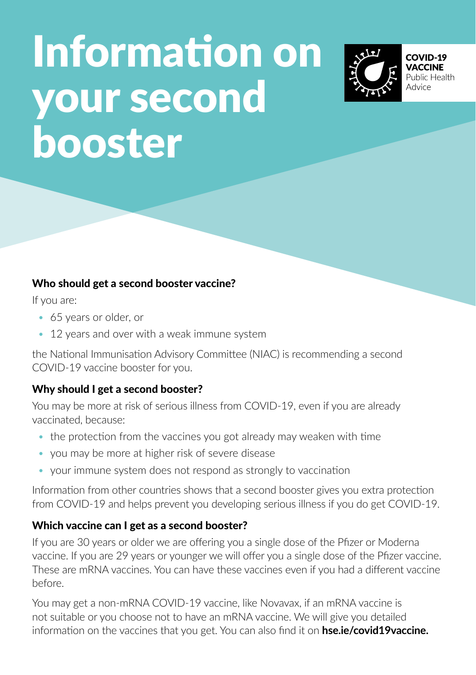# Information on your second booster



#### Who should get a second booster vaccine?

If you are:

- 65 years or older, or
- 12 years and over with a weak immune system

the National Immunisation Advisory Committee (NIAC) is recommending a second COVID-19 vaccine booster for you.

## Why should I get a second booster?

You may be more at risk of serious illness from COVID-19, even if you are already vaccinated, because:

- the protection from the vaccines you got already may weaken with time
- you may be more at higher risk of severe disease
- your immune system does not respond as strongly to vaccination

Information from other countries shows that a second booster gives you extra protection from COVID-19 and helps prevent you developing serious illness if you do get COVID-19.

## Which vaccine can I get as a second booster?

If you are 30 years or older we are offering you a single dose of the Pfizer or Moderna vaccine. If you are 29 years or younger we will offer you a single dose of the Pfizer vaccine. These are mRNA vaccines. You can have these vaccines even if you had a different vaccine before.

You may get a non-mRNA COVID-19 vaccine, like Novavax, if an mRNA vaccine is not suitable or you choose not to have an mRNA vaccine. We will give you detailed information on the vaccines that you get. You can also find it on **hse.ie/covid19vaccine.**